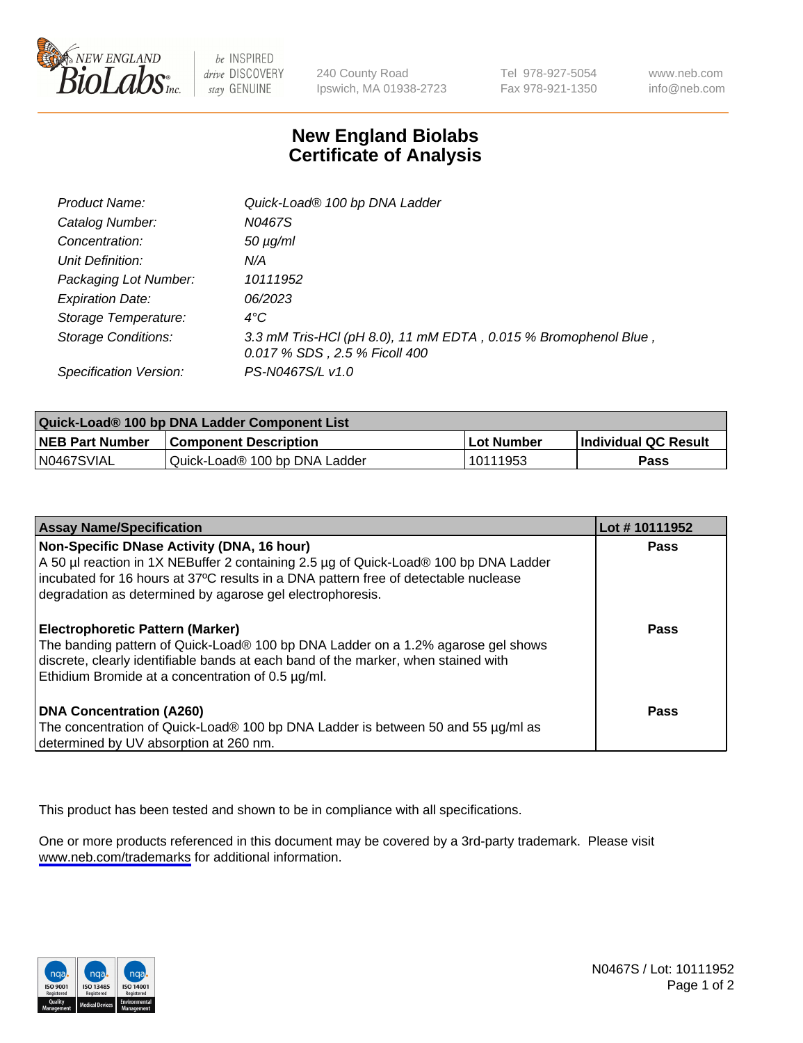

be INSPIRED drive DISCOVERY stay GENUINE

240 County Road Ipswich, MA 01938-2723 Tel 978-927-5054 Fax 978-921-1350

www.neb.com info@neb.com

## **New England Biolabs Certificate of Analysis**

| Product Name:              | Quick-Load® 100 bp DNA Ladder                                                                    |
|----------------------------|--------------------------------------------------------------------------------------------------|
| Catalog Number:            | N0467S                                                                                           |
| Concentration:             | $50 \mu g/ml$                                                                                    |
| Unit Definition:           | N/A                                                                                              |
| Packaging Lot Number:      | 10111952                                                                                         |
| <b>Expiration Date:</b>    | 06/2023                                                                                          |
| Storage Temperature:       | $4^{\circ}$ C                                                                                    |
| <b>Storage Conditions:</b> | 3.3 mM Tris-HCl (pH 8.0), 11 mM EDTA, 0.015 % Bromophenol Blue,<br>0.017 % SDS, 2.5 % Ficoll 400 |
| Specification Version:     | PS-N0467S/L v1.0                                                                                 |

| Quick-Load® 100 bp DNA Ladder Component List |                               |            |                             |  |
|----------------------------------------------|-------------------------------|------------|-----------------------------|--|
| <b>NEB Part Number</b>                       | <b>Component Description</b>  | Lot Number | <b>Individual QC Result</b> |  |
| N0467SVIAL                                   | Quick-Load® 100 bp DNA Ladder | 10111953   | Pass                        |  |

| <b>Assay Name/Specification</b>                                                                                                                                                                                                                                                        | Lot #10111952 |
|----------------------------------------------------------------------------------------------------------------------------------------------------------------------------------------------------------------------------------------------------------------------------------------|---------------|
| Non-Specific DNase Activity (DNA, 16 hour)<br>A 50 µl reaction in 1X NEBuffer 2 containing 2.5 µg of Quick-Load® 100 bp DNA Ladder<br>incubated for 16 hours at 37°C results in a DNA pattern free of detectable nuclease<br>degradation as determined by agarose gel electrophoresis. | Pass          |
| Electrophoretic Pattern (Marker)<br>The banding pattern of Quick-Load® 100 bp DNA Ladder on a 1.2% agarose gel shows<br>discrete, clearly identifiable bands at each band of the marker, when stained with<br>Ethidium Bromide at a concentration of 0.5 µg/ml.                        | Pass          |
| <b>DNA Concentration (A260)</b><br>The concentration of Quick-Load® 100 bp DNA Ladder is between 50 and 55 µg/ml as<br>determined by UV absorption at 260 nm.                                                                                                                          | <b>Pass</b>   |

This product has been tested and shown to be in compliance with all specifications.

One or more products referenced in this document may be covered by a 3rd-party trademark. Please visit <www.neb.com/trademarks>for additional information.